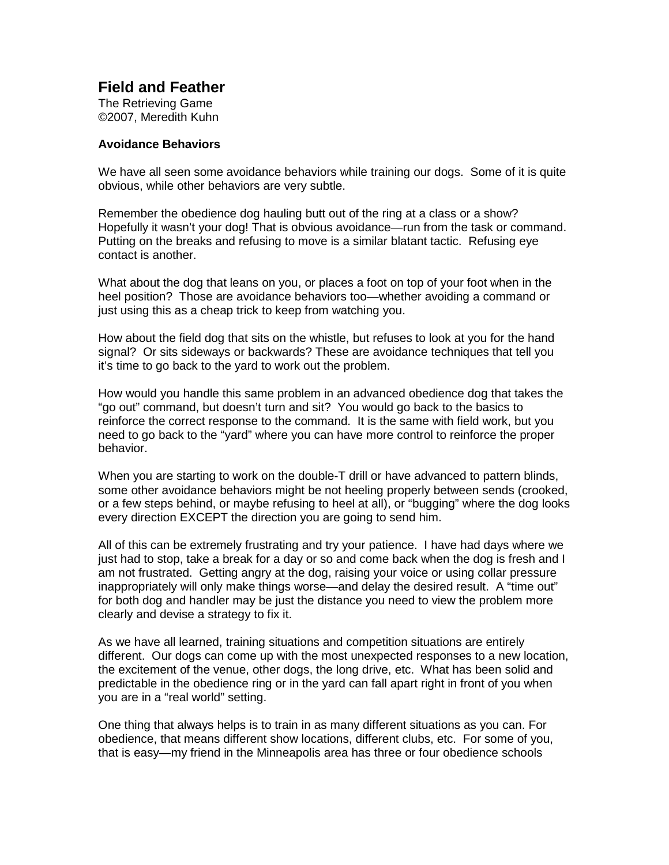## **Field and Feather**

The Retrieving Game ©2007, Meredith Kuhn

## **Avoidance Behaviors**

We have all seen some avoidance behaviors while training our dogs. Some of it is quite obvious, while other behaviors are very subtle.

Remember the obedience dog hauling butt out of the ring at a class or a show? Hopefully it wasn't your dog! That is obvious avoidance—run from the task or command. Putting on the breaks and refusing to move is a similar blatant tactic. Refusing eye contact is another.

What about the dog that leans on you, or places a foot on top of your foot when in the heel position? Those are avoidance behaviors too—whether avoiding a command or just using this as a cheap trick to keep from watching you.

How about the field dog that sits on the whistle, but refuses to look at you for the hand signal? Or sits sideways or backwards? These are avoidance techniques that tell you it's time to go back to the yard to work out the problem.

How would you handle this same problem in an advanced obedience dog that takes the "go out" command, but doesn't turn and sit? You would go back to the basics to reinforce the correct response to the command. It is the same with field work, but you need to go back to the "yard" where you can have more control to reinforce the proper behavior.

When you are starting to work on the double-T drill or have advanced to pattern blinds, some other avoidance behaviors might be not heeling properly between sends (crooked, or a few steps behind, or maybe refusing to heel at all), or "bugging" where the dog looks every direction EXCEPT the direction you are going to send him.

All of this can be extremely frustrating and try your patience. I have had days where we just had to stop, take a break for a day or so and come back when the dog is fresh and I am not frustrated. Getting angry at the dog, raising your voice or using collar pressure inappropriately will only make things worse—and delay the desired result. A "time out" for both dog and handler may be just the distance you need to view the problem more clearly and devise a strategy to fix it.

As we have all learned, training situations and competition situations are entirely different. Our dogs can come up with the most unexpected responses to a new location, the excitement of the venue, other dogs, the long drive, etc. What has been solid and predictable in the obedience ring or in the yard can fall apart right in front of you when you are in a "real world" setting.

One thing that always helps is to train in as many different situations as you can. For obedience, that means different show locations, different clubs, etc. For some of you, that is easy—my friend in the Minneapolis area has three or four obedience schools